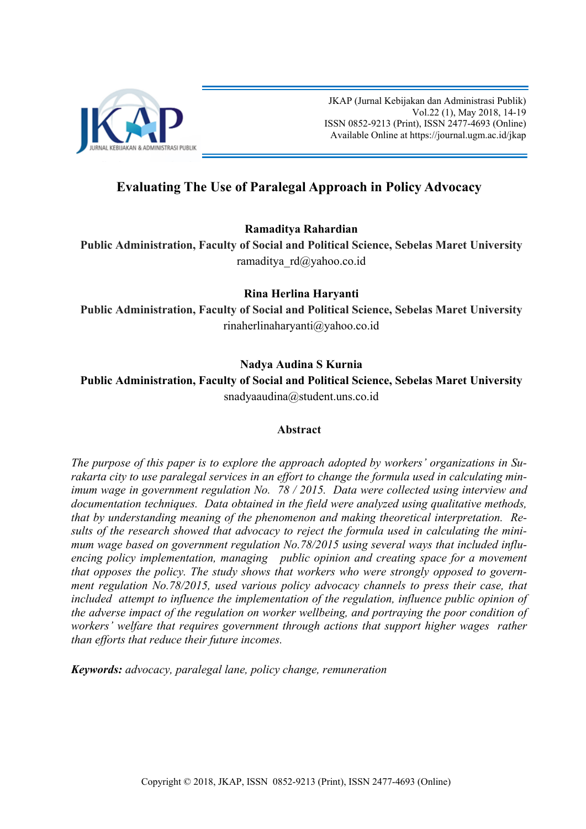

JKAP (Jurnal Kebijakan dan Administrasi Publik) Vol.22 (1), May 2018, 14-19 ISSN 0852-9213 (Print), ISSN 2477-4693 (Online) Available Online at [https://journal.ugm.ac.id/jkap](http://journal.ugm.ac.id/jkap)

# **Evaluating The Use of Paralegal Approach in Policy Advocacy**

## **Ramaditya Rahardian**

**Public Administration, Faculty of Social and Political Science, Sebelas Maret University**  [ramaditya\\_rd@yahoo.co.id](mailto:ramaditya_rd@yahoo.co.id)

# **Rina Herlina Haryanti**

**Public Administration, Faculty of Social and Political Science, Sebelas Maret University** [rinaherlinaharyanti@yahoo.co.id](mailto:rinaherlinaharyanti@yahoo.co.id)

# **Nadya Audina S Kurnia**

**Public Administration, Faculty of Social and Political Science, Sebelas Maret University** [snadyaaudina@student.uns.co.id](mailto:snadyaaudina@student.uns.co.id)

## **Abstract**

*The purpose of this paper is to explore the approach adopted by workers' organizations in Surakarta city to use paralegal services in an effort to change the formula used in calculating minimum wage in government regulation No. 78 / 2015. Data were collected using interview and documentation techniques. Data obtained in the field were analyzed using qualitative methods, that by understanding meaning of the phenomenon and making theoretical interpretation. Results of the research showed that advocacy to reject the formula used in calculating the minimum wage based on government regulation No.78/2015 using several ways that included influencing policy implementation, managing public opinion and creating space for a movement that opposes the policy. The study shows that workers who were strongly opposed to government regulation No.78/2015, used various policy advocacy channels to press their case, that included attempt to influence the implementation of the regulation, influence public opinion of the adverse impact of the regulation on worker wellbeing, and portraying the poor condition of workers' welfare that requires government through actions that support higher wages rather than efforts that reduce their future incomes.* 

*Keywords: advocacy, paralegal lane, policy change, remuneration*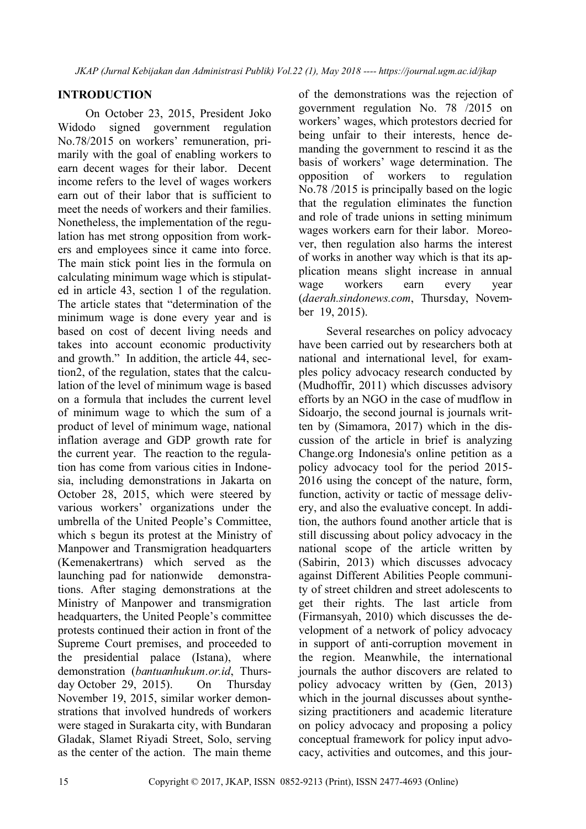## **INTRODUCTION**

On October 23, 2015, President Joko Widodo signed government regulation No.78/2015 on workers' remuneration, primarily with the goal of enabling workers to earn decent wages for their labor. Decent income refers to the level of wages workers earn out of their labor that is sufficient to meet the needs of workers and their families. Nonetheless, the implementation of the regulation has met strong opposition from workers and employees since it came into force. The main stick point lies in the formula on calculating minimum wage which is stipulated in article 43, section 1 of the regulation. The article states that "determination of the minimum wage is done every year and is based on cost of decent living needs and takes into account economic productivity and growth." In addition, the article 44, section2, of the regulation, states that the calculation of the level of minimum wage is based on a formula that includes the current level of minimum wage to which the sum of a product of level of minimum wage, national inflation average and GDP growth rate for the current year. The reaction to the regulation has come from various cities in Indonesia, including demonstrations in Jakarta on October 28, 2015, which were steered by various workers' organizations under the umbrella of the United People's Committee, which s begun its protest at the Ministry of Manpower and Transmigration headquarters (Kemenakertrans) which served as the launching pad for nationwide demonstrations. After staging demonstrations at the Ministry of Manpower and transmigration headquarters, the United People's committee protests continued their action in front of the Supreme Court premises, and proceeded to the presidential palace (Istana), where demonstration (*bantuanhukum.or.id*, Thursday October 29, 2015). On Thursday November 19, 2015, similar worker demonstrations that involved hundreds of workers were staged in Surakarta city, with Bundaran Gladak, Slamet Riyadi Street, Solo, serving as the center of the action. The main theme

of the demonstrations was the rejection of government regulation No. 78 /2015 on workers' wages, which protestors decried for being unfair to their interests, hence demanding the government to rescind it as the basis of workers' wage determination. The opposition of workers to regulation No.78 /2015 is principally based on the logic that the regulation eliminates the function and role of trade unions in setting minimum wages workers earn for their labor. Moreover, then regulation also harms the interest of works in another way which is that its application means slight increase in annual wage workers earn every year (*daerah.sindonews.com*, Thursday, November 19, 2015).

Several researches on policy advocacy have been carried out by researchers both at national and international level, for examples policy advocacy research conducted by (Mudhoffir, 2011) which discusses advisory efforts by an NGO in the case of mudflow in Sidoarjo, the second journal is journals written by (Simamora, 2017) which in the discussion of the article in brief is analyzing Change.org Indonesia's online petition as a policy advocacy tool for the period 2015- 2016 using the concept of the nature, form, function, activity or tactic of message delivery, and also the evaluative concept. In addition, the authors found another article that is still discussing about policy advocacy in the national scope of the article written by (Sabirin, 2013) which discusses advocacy against Different Abilities People community of street children and street adolescents to get their rights. The last article from (Firmansyah, 2010) which discusses the development of a network of policy advocacy in support of anti-corruption movement in the region. Meanwhile, the international journals the author discovers are related to policy advocacy written by (Gen, 2013) which in the journal discusses about synthesizing practitioners and academic literature on policy advocacy and proposing a policy conceptual framework for policy input advocacy, activities and outcomes, and this jour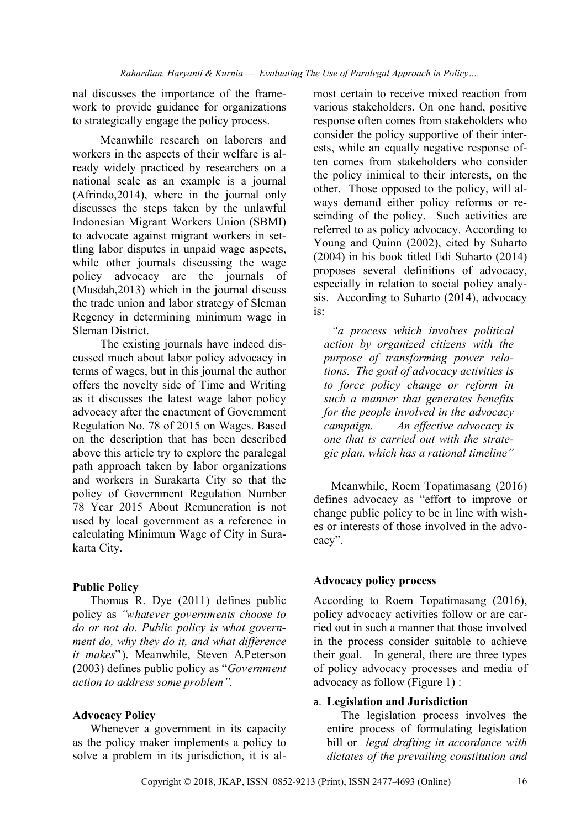nal discusses the importance of the framework to provide guidance for organizations to strategically engage the policy process.

Meanwhile research on laborers and workers in the aspects of their welfare is already widely practiced by researchers on a national scale as an example is a journal (Afrindo,2014), where in the journal only discusses the steps taken by the unlawful Indonesian Migrant Workers Union (SBMI) to advocate against migrant workers in settling labor disputes in unpaid wage aspects, while other journals discussing the wage policy advocacy are the journals of (Musdah,2013) which in the journal discuss the trade union and labor strategy of Sleman Regency in determining minimum wage in Sleman District.

The existing journals have indeed discussed much about labor policy advocacy in terms of wages, but in this journal the author offers the novelty side of Time and Writing as it discusses the latest wage labor policy advocacy after the enactment of Government Regulation No. 78 of 2015 on Wages. Based on the description that has been described above this article try to explore the paralegal path approach taken by labor organizations and workers in Surakarta City so that the policy of Government Regulation Number 78 Year 2015 About Remuneration is not used by local government as a reference in calculating Minimum Wage of City in Surakarta City.

#### **Public Policy**

Thomas R. Dye (2011) defines public policy as *"whatever governments choose to do or not do. Public policy is what government do, why they do it, and what difference it makes*"). Meanwhile, Steven A.Peterson (2003) defines public policy as "*Government action to address some problem".*

#### **Advocacy Policy**

Whenever a government in its capacity as the policy maker implements a policy to solve a problem in its jurisdiction, it is al-

most certain to receive mixed reaction from various stakeholders. On one hand, positive response often comes from stakeholders who consider the policy supportive of their interests, while an equally negative response often comes from stakeholders who consider the policy inimical to their interests, on the other. Those opposed to the policy, will always demand either policy reforms or rescinding of the policy. Such activities are referred to as policy advocacy. According to Young and Quinn (2002), cited by Suharto (2004) in his book titled Edi Suharto (2014) proposes several definitions of advocacy, especially in relation to social policy analysis. According to Suharto (2014), advocacy is:

*"a process which involves political action by organized citizens with the purpose of transforming power relations. The goal of advocacy activities is to force policy change or reform in such a manner that generates benefits for the people involved in the advocacy campaign. An effective advocacy is one that is carried out with the strategic plan, which has a rational timeline"*

Meanwhile, Roem Topatimasang (2016) defines advocacy as "effort to improve or change public policy to be in line with wishes or interests of those involved in the advocacy".

## **Advocacy policy process**

According to Roem Topatimasang (2016), policy advocacy activities follow or are carried out in such a manner that those involved in the process consider suitable to achieve their goal. In general, there are three types of policy advocacy processes and media of advocacy as follow (Figure 1) :

## a. **Legislation and Jurisdiction**

The legislation process involves the entire process of formulating legislation bill or *legal drafting in accordance with dictates of the prevailing constitution and*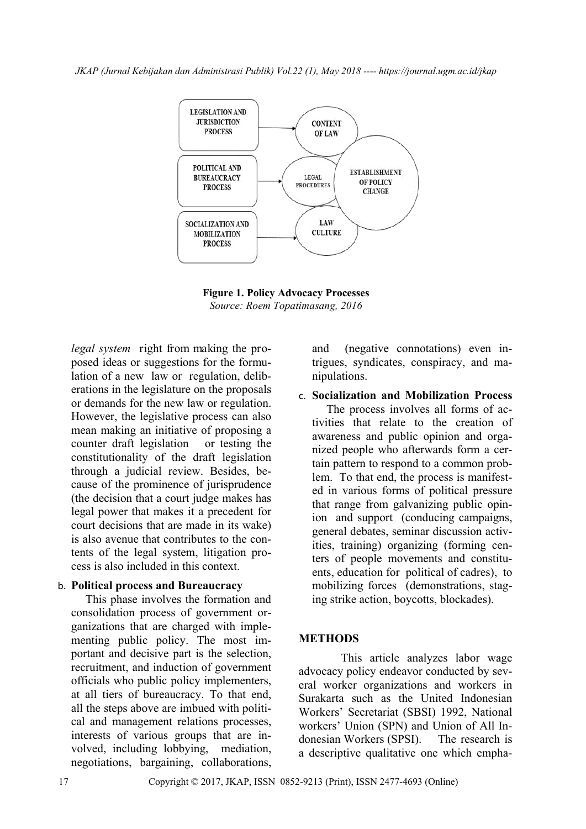*JKAP (Jurnal Kebijakan dan Administrasi Publik) Vol.22 (1), May 2018 ---- https://journal.ugm.ac.id/jkap*



**Figure 1. Policy Advocacy Processes**  *Source: Roem Topatimasang, 2016*

*legal system* right from making the proposed ideas or suggestions for the formulation of a new law or regulation, deliberations in the legislature on the proposals or demands for the new law or regulation. However, the legislative process can also mean making an initiative of proposing a counter draft legislation or testing the constitutionality of the draft legislation through a judicial review. Besides, because of the prominence of jurisprudence (the decision that a court judge makes has legal power that makes it a precedent for court decisions that are made in its wake) is also avenue that contributes to the contents of the legal system, litigation process is also included in this context.

#### b. **Political process and Bureaucracy**

This phase involves the formation and consolidation process of government organizations that are charged with implementing public policy. The most important and decisive part is the selection, recruitment, and induction of government officials who public policy implementers, at all tiers of bureaucracy. To that end, all the steps above are imbued with political and management relations processes, interests of various groups that are involved, including lobbying, mediation, negotiations, bargaining, collaborations,

and (negative connotations) even intrigues, syndicates, conspiracy, and manipulations.

c. **Socialization and Mobilization Process**  The process involves all forms of activities that relate to the creation of awareness and public opinion and organized people who afterwards form a certain pattern to respond to a common problem. To that end, the process is manifested in various forms of political pressure that range from galvanizing public opinion and support (conducing campaigns, general debates, seminar discussion activities, training) organizing (forming centers of people movements and constituents, education for political of cadres), to mobilizing forces (demonstrations, staging strike action, boycotts, blockades).

## **METHODS**

 This article analyzes labor wage advocacy policy endeavor conducted by several worker organizations and workers in Surakarta such as the United Indonesian Workers' Secretariat (SBSI) 1992, National workers' Union (SPN) and Union of All Indonesian Workers (SPSI). The research is a descriptive qualitative one which empha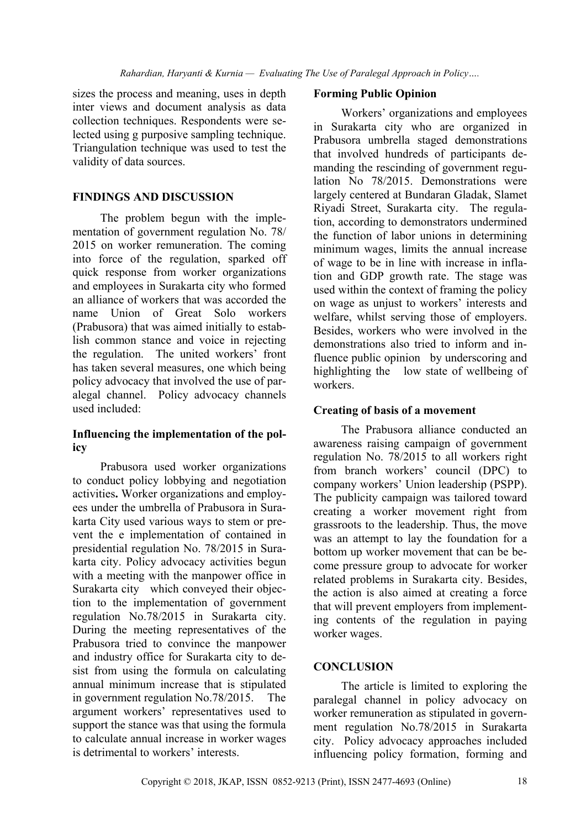sizes the process and meaning, uses in depth inter views and document analysis as data collection techniques. Respondents were selected using g purposive sampling technique. Triangulation technique was used to test the validity of data sources.

#### **FINDINGS AND DISCUSSION**

The problem begun with the implementation of government regulation No. 78/ 2015 on worker remuneration. The coming into force of the regulation, sparked off quick response from worker organizations and employees in Surakarta city who formed an alliance of workers that was accorded the name Union of Great Solo workers (Prabusora) that was aimed initially to establish common stance and voice in rejecting the regulation. The united workers' front has taken several measures, one which being policy advocacy that involved the use of paralegal channel. Policy advocacy channels used included:

#### **Influencing the implementation of the policy**

Prabusora used worker organizations to conduct policy lobbying and negotiation activities**.** Worker organizations and employees under the umbrella of Prabusora in Surakarta City used various ways to stem or prevent the e implementation of contained in presidential regulation No. 78/2015 in Surakarta city. Policy advocacy activities begun with a meeting with the manpower office in Surakarta city which conveyed their objection to the implementation of government regulation No.78/2015 in Surakarta city. During the meeting representatives of the Prabusora tried to convince the manpower and industry office for Surakarta city to desist from using the formula on calculating annual minimum increase that is stipulated in government regulation No.78/2015. The argument workers' representatives used to support the stance was that using the formula to calculate annual increase in worker wages is detrimental to workers' interests.

#### **Forming Public Opinion**

Workers' organizations and employees in Surakarta city who are organized in Prabusora umbrella staged demonstrations that involved hundreds of participants demanding the rescinding of government regulation No 78/2015. Demonstrations were largely centered at Bundaran Gladak, Slamet Riyadi Street, Surakarta city. The regulation, according to demonstrators undermined the function of labor unions in determining minimum wages, limits the annual increase of wage to be in line with increase in inflation and GDP growth rate. The stage was used within the context of framing the policy on wage as unjust to workers' interests and welfare, whilst serving those of employers. Besides, workers who were involved in the demonstrations also tried to inform and influence public opinion by underscoring and highlighting the low state of wellbeing of workers.

#### **Creating of basis of a movement**

The Prabusora alliance conducted an awareness raising campaign of government regulation No. 78/2015 to all workers right from branch workers' council (DPC) to company workers' Union leadership (PSPP). The publicity campaign was tailored toward creating a worker movement right from grassroots to the leadership. Thus, the move was an attempt to lay the foundation for a bottom up worker movement that can be become pressure group to advocate for worker related problems in Surakarta city. Besides, the action is also aimed at creating a force that will prevent employers from implementing contents of the regulation in paying worker wages.

## **CONCLUSION**

The article is limited to exploring the paralegal channel in policy advocacy on worker remuneration as stipulated in government regulation No.78/2015 in Surakarta city. Policy advocacy approaches included influencing policy formation, forming and